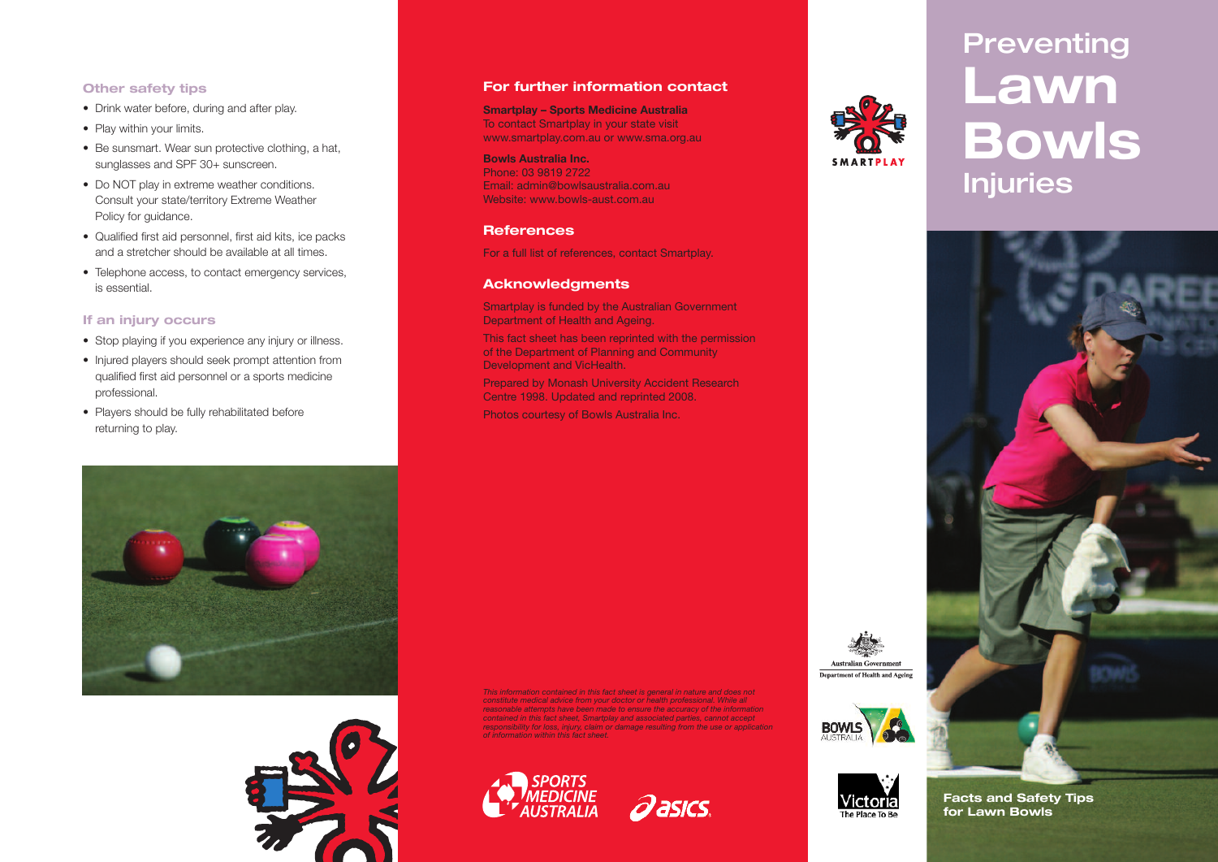#### **Other safety tips**

- Drink water before, during and after play.
- Play within your limits.
- Be sunsmart. Wear sun protective clothing, a hat, sunglasses and SPF 30+ sunscreen.
- Do NOT play in extreme weather conditions. Consult your state/territory Extreme Weather Policy for guidance.
- Qualified first aid personnel, first aid kits, ice packs and a stretcher should be available at all times.
- Telephone access, to contact emergency services, is essential.

#### **If an injury occurs**

- Stop playing if you experience any injury or illness.
- Injured players should seek prompt attention from qualified first aid personnel or a sports medicine professional.
- Players should be fully rehabilitated before returning to play.

#### **For further information contact**

**Smartplay – Sports Medicine Australia** To contact Smartplay in your state visit www.smartplay.com.au or www.sma.org.au

**Bowls Australia Inc.** Phone: 03 9819 2722 Email: admin@bowlsaustralia.com.au Website: www.bowls-aust.com.au

#### **References**

For a full list of references, contact Smartplay.

#### **Acknowledgments**

Smartplay is funded by the Australian Government Department of Health and Ageing.

This fact sheet has been reprinted with the permission of the Department of Planning and Community Development and VicHealth.

Prepared by Monash University Accident Research Centre 1998. Updated and reprinted 2008. Photos courtesy of Bowls Australia Inc.

*This information contained in this fact sheet is general in nature and does not constitute medical advice from your doctor or health professional. While all reasonable attempts have been made to ensure the accuracy of the information contained in this fact sheet, Smartplay and associated parties, cannot accept responsibility for loss, injury, claim or damage resulting from the use or application*

**Qasics** 

*of information within this fact sheet.*











**Facts and Safety Tips for Lawn Bowls**



# **Preventing Lawn Bowls Injuries**